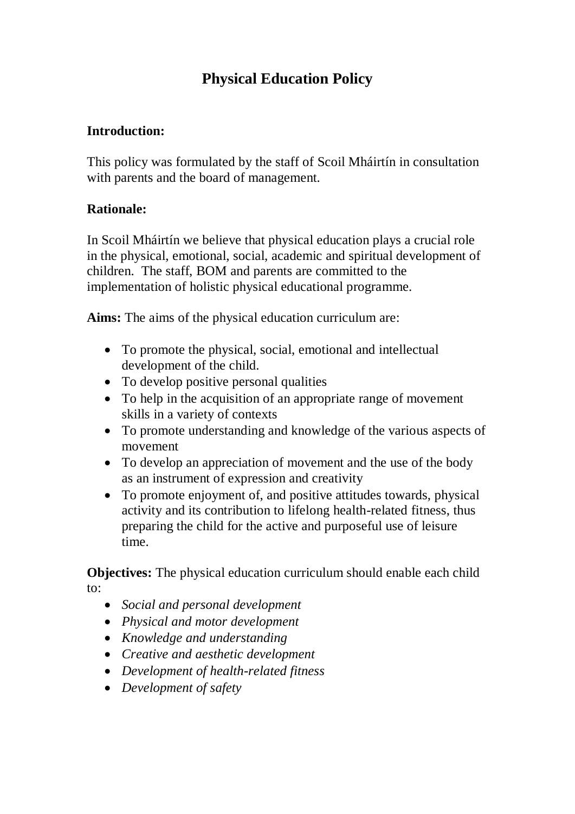# **Physical Education Policy**

## **Introduction:**

This policy was formulated by the staff of Scoil Mháirtín in consultation with parents and the board of management.

#### **Rationale:**

In Scoil Mháirtín we believe that physical education plays a crucial role in the physical, emotional, social, academic and spiritual development of children. The staff, BOM and parents are committed to the implementation of holistic physical educational programme.

**Aims:** The aims of the physical education curriculum are:

- To promote the physical, social, emotional and intellectual development of the child.
- To develop positive personal qualities
- To help in the acquisition of an appropriate range of movement skills in a variety of contexts
- To promote understanding and knowledge of the various aspects of movement
- To develop an appreciation of movement and the use of the body as an instrument of expression and creativity
- To promote enjoyment of, and positive attitudes towards, physical activity and its contribution to lifelong health-related fitness, thus preparing the child for the active and purposeful use of leisure time.

**Objectives:** The physical education curriculum should enable each child to:

- *Social and personal development*
- *Physical and motor development*
- *Knowledge and understanding*
- *Creative and aesthetic development*
- *Development of health-related fitness*
- *Development of safety*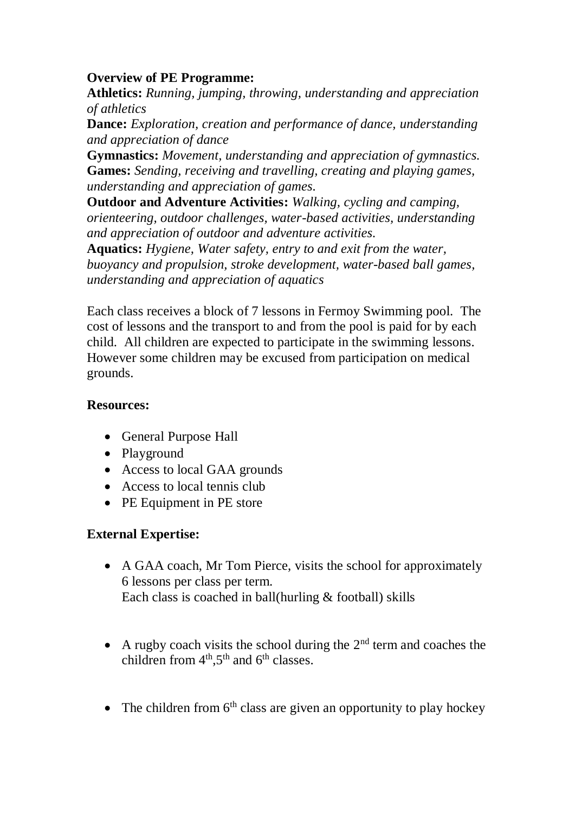### **Overview of PE Programme:**

**Athletics:** *Running, jumping, throwing, understanding and appreciation of athletics*

**Dance:** *Exploration, creation and performance of dance, understanding and appreciation of dance*

**Gymnastics:** *Movement, understanding and appreciation of gymnastics.* **Games:** *Sending, receiving and travelling, creating and playing games, understanding and appreciation of games.*

**Outdoor and Adventure Activities:** *Walking, cycling and camping, orienteering, outdoor challenges, water-based activities, understanding and appreciation of outdoor and adventure activities.*

**Aquatics:** *Hygiene, Water safety, entry to and exit from the water, buoyancy and propulsion, stroke development, water-based ball games, understanding and appreciation of aquatics*

Each class receives a block of 7 lessons in Fermoy Swimming pool. The cost of lessons and the transport to and from the pool is paid for by each child. All children are expected to participate in the swimming lessons. However some children may be excused from participation on medical grounds.

### **Resources:**

- General Purpose Hall
- Playground
- Access to local GAA grounds
- Access to local tennis club
- PE Equipment in PE store

# **External Expertise:**

- A GAA coach, Mr Tom Pierce, visits the school for approximately 6 lessons per class per term. Each class is coached in ball(hurling  $&$  football) skills
- A rugby coach visits the school during the  $2<sup>nd</sup>$  term and coaches the children from  $4<sup>th</sup>$ ,5<sup>th</sup> and  $6<sup>th</sup>$  classes.
- The children from  $6<sup>th</sup>$  class are given an opportunity to play hockey